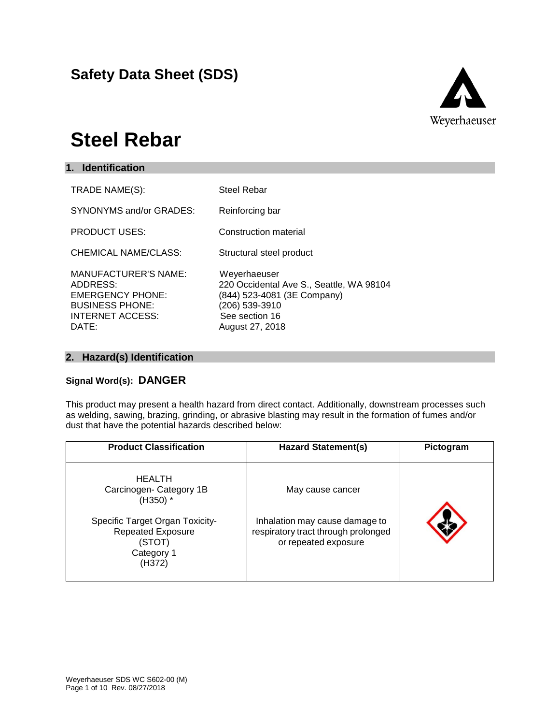## **Safety Data Sheet (SDS)**



## **Steel Rebar**

| 1. Identification                                                                                                                |                                                                                                                                                |
|----------------------------------------------------------------------------------------------------------------------------------|------------------------------------------------------------------------------------------------------------------------------------------------|
| TRADE NAME(S):                                                                                                                   | <b>Steel Rebar</b>                                                                                                                             |
| SYNONYMS and/or GRADES:                                                                                                          | Reinforcing bar                                                                                                                                |
| <b>PRODUCT USES:</b>                                                                                                             | Construction material                                                                                                                          |
| <b>CHEMICAL NAME/CLASS:</b>                                                                                                      | Structural steel product                                                                                                                       |
| <b>MANUFACTURER'S NAME:</b><br>ADDRESS:<br><b>EMERGENCY PHONE:</b><br><b>BUSINESS PHONE:</b><br><b>INTERNET ACCESS:</b><br>DATE: | Weyerhaeuser<br>220 Occidental Ave S., Seattle, WA 98104<br>(844) 523-4081 (3E Company)<br>(206) 539-3910<br>See section 16<br>August 27, 2018 |

## **2. Hazard(s) Identification**

### **Signal Word(s): DANGER**

This product may present a health hazard from direct contact. Additionally, downstream processes such as welding, sawing, brazing, grinding, or abrasive blasting may result in the formation of fumes and/or dust that have the potential hazards described below:

| <b>Product Classification</b>                                                                                                                           | <b>Hazard Statement(s)</b>                                                                                        | Pictogram |
|---------------------------------------------------------------------------------------------------------------------------------------------------------|-------------------------------------------------------------------------------------------------------------------|-----------|
| <b>HEALTH</b><br>Carcinogen- Category 1B<br>$(H350)$ *<br>Specific Target Organ Toxicity-<br><b>Repeated Exposure</b><br>(STOT)<br>Category 1<br>(H372) | May cause cancer<br>Inhalation may cause damage to<br>respiratory tract through prolonged<br>or repeated exposure |           |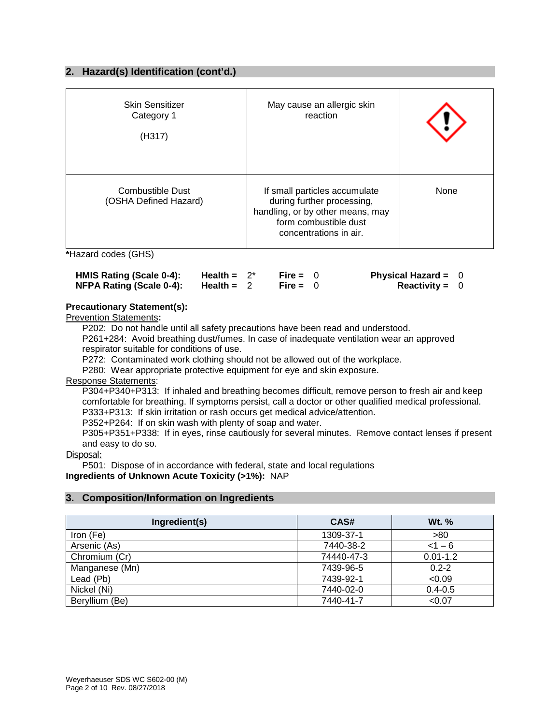#### **2. Hazard(s) Identification (cont'd.)**

| <b>Skin Sensitizer</b><br>Category 1<br>(H317)   | May cause an allergic skin<br>reaction                                                                                                             |      |
|--------------------------------------------------|----------------------------------------------------------------------------------------------------------------------------------------------------|------|
| <b>Combustible Dust</b><br>(OSHA Defined Hazard) | If small particles accumulate<br>during further processing,<br>handling, or by other means, may<br>form combustible dust<br>concentrations in air. | None |

**\***Hazard codes (GHS)

| HMIS Rating (Scale 0-4): | Health = $2^*$ | Fire = $0$ | Physical Hazard = $0$ |  |
|--------------------------|----------------|------------|-----------------------|--|
| NFPA Rating (Scale 0-4): | Health = $2$   | Fire = $0$ | <b>Reactivity = 0</b> |  |

#### **Precautionary Statement(s):**

Prevention Statements**:**

P202: Do not handle until all safety precautions have been read and understood.

P261+284: Avoid breathing dust/fumes. In case of inadequate ventilation wear an approved respirator suitable for conditions of use.

P272: Contaminated work clothing should not be allowed out of the workplace.

P280: Wear appropriate protective equipment for eye and skin exposure.

Response Statements:

P304+P340+P313: If inhaled and breathing becomes difficult, remove person to fresh air and keep comfortable for breathing. If symptoms persist, call a doctor or other qualified medical professional. P333+P313: If skin irritation or rash occurs get medical advice/attention.

P352+P264: If on skin wash with plenty of soap and water.

P305+P351+P338: If in eyes, rinse cautiously for several minutes. Remove contact lenses if present and easy to do so.

#### Disposal:

P501: Dispose of in accordance with federal, state and local regulations **Ingredients of Unknown Acute Toxicity (>1%):** NAP

#### **3. Composition/Information on Ingredients**

| Ingredient(s)  | CAS#       | Wt. %        |
|----------------|------------|--------------|
| Iron (Fe)      | 1309-37-1  | >80          |
| Arsenic (As)   | 7440-38-2  | $< 1 - 6$    |
| Chromium (Cr)  | 74440-47-3 | $0.01 - 1.2$ |
| Manganese (Mn) | 7439-96-5  | $0.2 - 2$    |
| Lead (Pb)      | 7439-92-1  | < 0.09       |
| Nickel (Ni)    | 7440-02-0  | $0.4 - 0.5$  |
| Beryllium (Be) | 7440-41-7  | < 0.07       |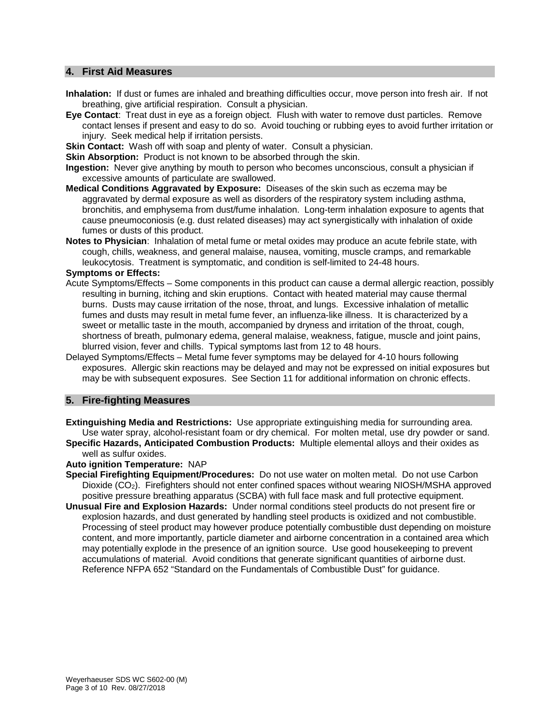#### **4. First Aid Measures**

- **Inhalation:** If dust or fumes are inhaled and breathing difficulties occur, move person into fresh air. If not breathing, give artificial respiration. Consult a physician.
- **Eye Contact**: Treat dust in eye as a foreign object. Flush with water to remove dust particles. Remove contact lenses if present and easy to do so. Avoid touching or rubbing eyes to avoid further irritation or injury. Seek medical help if irritation persists.
- **Skin Contact:** Wash off with soap and plenty of water. Consult a physician.

**Skin Absorption:** Product is not known to be absorbed through the skin.

- **Ingestion:** Never give anything by mouth to person who becomes unconscious, consult a physician if excessive amounts of particulate are swallowed.
- **Medical Conditions Aggravated by Exposure:** Diseases of the skin such as eczema may be aggravated by dermal exposure as well as disorders of the respiratory system including asthma, bronchitis, and emphysema from dust/fume inhalation. Long-term inhalation exposure to agents that cause pneumoconiosis (e.g. dust related diseases) may act synergistically with inhalation of oxide fumes or dusts of this product.
- **Notes to Physician**: Inhalation of metal fume or metal oxides may produce an acute febrile state, with cough, chills, weakness, and general malaise, nausea, vomiting, muscle cramps, and remarkable leukocytosis. Treatment is symptomatic, and condition is self-limited to 24-48 hours.

#### **Symptoms or Effects:**

- Acute Symptoms/Effects Some components in this product can cause a dermal allergic reaction, possibly resulting in burning, itching and skin eruptions. Contact with heated material may cause thermal burns. Dusts may cause irritation of the nose, throat, and lungs. Excessive inhalation of metallic fumes and dusts may result in metal fume fever, an influenza-like illness. It is characterized by a sweet or metallic taste in the mouth, accompanied by dryness and irritation of the throat, cough, shortness of breath, pulmonary edema, general malaise, weakness, fatigue, muscle and joint pains, blurred vision, fever and chills. Typical symptoms last from 12 to 48 hours.
- Delayed Symptoms/Effects Metal fume fever symptoms may be delayed for 4-10 hours following exposures. Allergic skin reactions may be delayed and may not be expressed on initial exposures but may be with subsequent exposures. See Section 11 for additional information on chronic effects.

#### **5. Fire-fighting Measures**

- **Extinguishing Media and Restrictions:** Use appropriate extinguishing media for surrounding area.
- Use water spray, alcohol-resistant foam or dry chemical. For molten metal, use dry powder or sand. **Specific Hazards, Anticipated Combustion Products:** Multiple elemental alloys and their oxides as well as sulfur oxides.

#### **Auto ignition Temperature:** NAP

- **Special Firefighting Equipment/Procedures:** Do not use water on molten metal. Do not use Carbon Dioxide (CO2). Firefighters should not enter confined spaces without wearing NIOSH/MSHA approved positive pressure breathing apparatus (SCBA) with full face mask and full protective equipment.
- **Unusual Fire and Explosion Hazards:** Under normal conditions steel products do not present fire or explosion hazards, and dust generated by handling steel products is oxidized and not combustible. Processing of steel product may however produce potentially combustible dust depending on moisture content, and more importantly, particle diameter and airborne concentration in a contained area which may potentially explode in the presence of an ignition source. Use good housekeeping to prevent accumulations of material. Avoid conditions that generate significant quantities of airborne dust. Reference NFPA 652 "Standard on the Fundamentals of Combustible Dust" for guidance.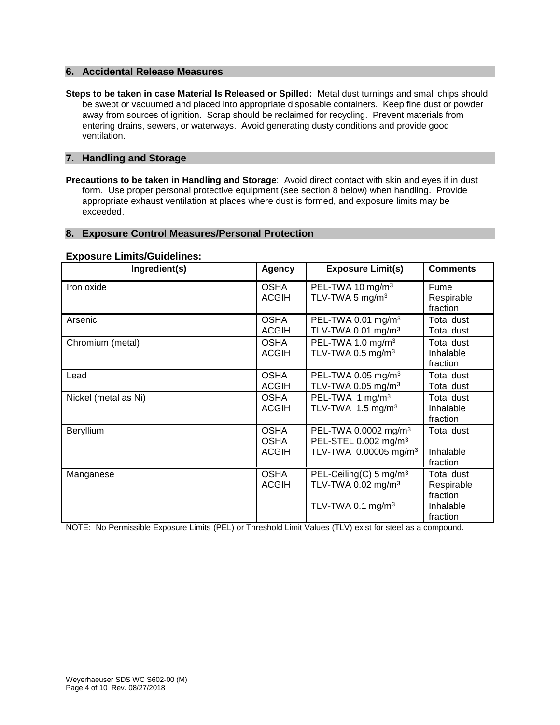#### **6. Accidental Release Measures**

**Steps to be taken in case Material Is Released or Spilled:** Metal dust turnings and small chips should be swept or vacuumed and placed into appropriate disposable containers. Keep fine dust or powder away from sources of ignition. Scrap should be reclaimed for recycling. Prevent materials from entering drains, sewers, or waterways. Avoid generating dusty conditions and provide good ventilation.

#### **7. Handling and Storage**

**Precautions to be taken in Handling and Storage**: Avoid direct contact with skin and eyes if in dust form. Use proper personal protective equipment (see section 8 below) when handling. Provide appropriate exhaust ventilation at places where dust is formed, and exposure limits may be exceeded.

#### **8. Exposure Control Measures/Personal Protection**

#### **Exposure Limits/Guidelines:**

| Ingredient(s)        | <b>Agency</b>                              | <b>Exposure Limit(s)</b>                                                                                  | <b>Comments</b>                                               |
|----------------------|--------------------------------------------|-----------------------------------------------------------------------------------------------------------|---------------------------------------------------------------|
| Iron oxide           | <b>OSHA</b><br><b>ACGIH</b>                | PEL-TWA 10 mg/m <sup>3</sup><br>TLV-TWA 5 mg/m <sup>3</sup>                                               | Fume<br>Respirable<br>fraction                                |
| Arsenic              | <b>OSHA</b><br><b>ACGIH</b>                | PEL-TWA 0.01 mg/m <sup>3</sup><br>TLV-TWA 0.01 mg/m <sup>3</sup>                                          | Total dust<br><b>Total dust</b>                               |
| Chromium (metal)     | <b>OSHA</b><br><b>ACGIH</b>                | PEL-TWA 1.0 mg/m <sup>3</sup><br>TLV-TWA 0.5 mg/m <sup>3</sup>                                            | <b>Total dust</b><br>Inhalable<br>fraction                    |
| Lead                 | <b>OSHA</b><br><b>ACGIH</b>                | PEL-TWA 0.05 mg/m <sup>3</sup><br>TLV-TWA 0.05 mg/m <sup>3</sup>                                          | Total dust<br><b>Total dust</b>                               |
| Nickel (metal as Ni) | <b>OSHA</b><br><b>ACGIH</b>                | PEL-TWA 1 mg/m <sup>3</sup><br>TLV-TWA 1.5 mg/m <sup>3</sup>                                              | <b>Total dust</b><br>Inhalable<br>fraction                    |
| Beryllium            | <b>OSHA</b><br><b>OSHA</b><br><b>ACGIH</b> | PEL-TWA 0.0002 mg/m <sup>3</sup><br>PEL-STEL 0.002 mg/m <sup>3</sup><br>TLV-TWA 0.00005 mg/m <sup>3</sup> | Total dust<br>Inhalable<br>fraction                           |
| Manganese            | <b>OSHA</b><br><b>ACGIH</b>                | PEL-Ceiling(C) 5 mg/m <sup>3</sup><br>TLV-TWA 0.02 mg/m <sup>3</sup><br>TLV-TWA 0.1 mg/m <sup>3</sup>     | Total dust<br>Respirable<br>fraction<br>Inhalable<br>fraction |

NOTE: No Permissible Exposure Limits (PEL) or Threshold Limit Values (TLV) exist for steel as a compound.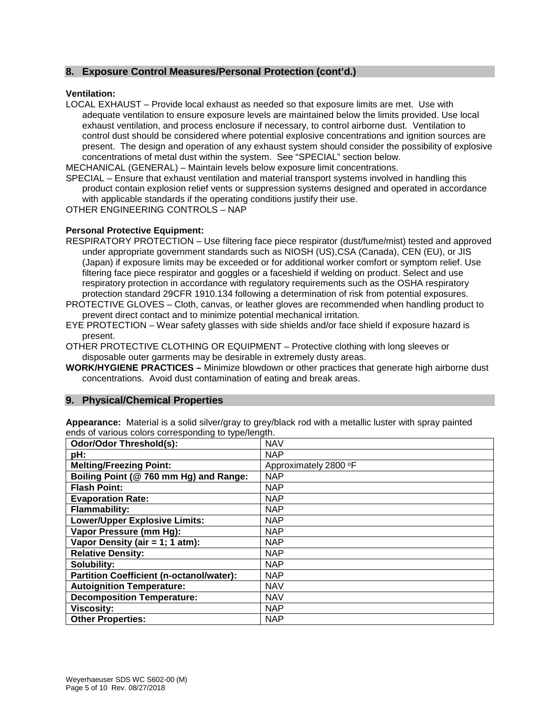#### **8. Exposure Control Measures/Personal Protection (cont'd.)**

#### **Ventilation:**

LOCAL EXHAUST – Provide local exhaust as needed so that exposure limits are met. Use with adequate ventilation to ensure exposure levels are maintained below the limits provided. Use local exhaust ventilation, and process enclosure if necessary, to control airborne dust. Ventilation to control dust should be considered where potential explosive concentrations and ignition sources are present. The design and operation of any exhaust system should consider the possibility of explosive concentrations of metal dust within the system. See "SPECIAL" section below.

MECHANICAL (GENERAL) – Maintain levels below exposure limit concentrations.

SPECIAL – Ensure that exhaust ventilation and material transport systems involved in handling this product contain explosion relief vents or suppression systems designed and operated in accordance with applicable standards if the operating conditions justify their use.

OTHER ENGINEERING CONTROLS – NAP

#### **Personal Protective Equipment:**

RESPIRATORY PROTECTION – Use filtering face piece respirator (dust/fume/mist) tested and approved under appropriate government standards such as NIOSH (US),CSA (Canada), CEN (EU), or JIS (Japan) if exposure limits may be exceeded or for additional worker comfort or symptom relief. Use filtering face piece respirator and goggles or a faceshield if welding on product. Select and use respiratory protection in accordance with regulatory requirements such as the OSHA respiratory protection standard 29CFR 1910.134 following a determination of risk from potential exposures.

PROTECTIVE GLOVES – Cloth, canvas, or leather gloves are recommended when handling product to prevent direct contact and to minimize potential mechanical irritation.

EYE PROTECTION – Wear safety glasses with side shields and/or face shield if exposure hazard is present.

OTHER PROTECTIVE CLOTHING OR EQUIPMENT – Protective clothing with long sleeves or disposable outer garments may be desirable in extremely dusty areas.

**WORK/HYGIENE PRACTICES –** Minimize blowdown or other practices that generate high airborne dust concentrations. Avoid dust contamination of eating and break areas.

#### **9. Physical/Chemical Properties**

**Appearance:** Material is a solid silver/gray to grey/black rod with a metallic luster with spray painted ends of various colors corresponding to type/length.

| <b>Odor/Odor Threshold(s):</b>                  | <b>NAV</b>            |
|-------------------------------------------------|-----------------------|
| pH:                                             | <b>NAP</b>            |
| <b>Melting/Freezing Point:</b>                  | Approximately 2800 °F |
| Boiling Point (@ 760 mm Hg) and Range:          | <b>NAP</b>            |
| <b>Flash Point:</b>                             | <b>NAP</b>            |
| <b>Evaporation Rate:</b>                        | <b>NAP</b>            |
| <b>Flammability:</b>                            | <b>NAP</b>            |
| <b>Lower/Upper Explosive Limits:</b>            | <b>NAP</b>            |
| Vapor Pressure (mm Hg):                         | <b>NAP</b>            |
| Vapor Density (air = 1; 1 atm):                 | <b>NAP</b>            |
| <b>Relative Density:</b>                        | <b>NAP</b>            |
| Solubility:                                     | <b>NAP</b>            |
| <b>Partition Coefficient (n-octanol/water):</b> | <b>NAP</b>            |
| <b>Autoignition Temperature:</b>                | <b>NAV</b>            |
| <b>Decomposition Temperature:</b>               | <b>NAV</b>            |
| <b>Viscosity:</b>                               | <b>NAP</b>            |
| <b>Other Properties:</b>                        | <b>NAP</b>            |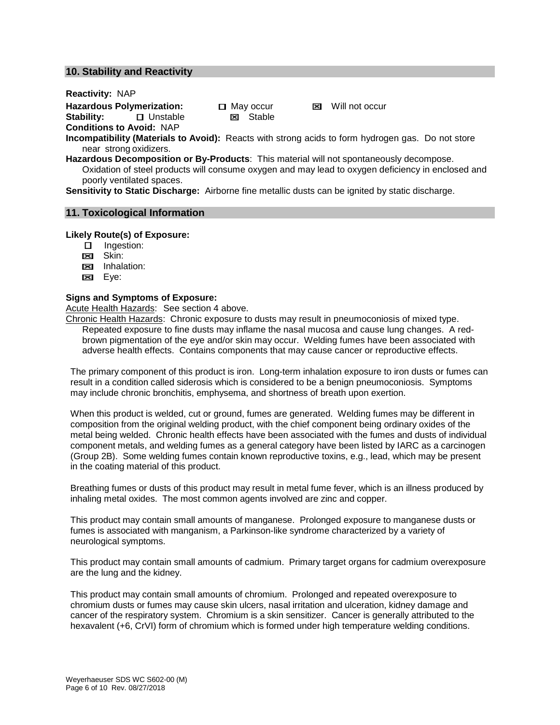#### **10. Stability and Reactivity**

#### **Reactivity:** NAP

**Hazardous Polymerization:** May occur **⊠** Will not occur<br>**Stability: D** Unstable **⊠** Stable

**B** Unstable **Conditions to Avoid:** NAP

**Incompatibility (Materials to Avoid):** Reacts with strong acids to form hydrogen gas. Do not store near strong oxidizers.

**Hazardous Decomposition or By-Products**: This material will not spontaneously decompose. Oxidation of steel products will consume oxygen and may lead to oxygen deficiency in enclosed and poorly ventilated spaces.

**Sensitivity to Static Discharge:** Airborne fine metallic dusts can be ignited by static discharge.

## **11. Toxicological Information**

#### **Likely Route(s) of Exposure:**

- **Ingestion:**
- <sub>Est</sub> Skin:
- **EX** Inhalation:
- **Eye:**

#### **Signs and Symptoms of Exposure:**

Acute Health Hazards:See section 4 above.

Chronic Health Hazards: Chronic exposure to dusts may result in pneumoconiosis of mixed type. Repeated exposure to fine dusts may inflame the nasal mucosa and cause lung changes. A redbrown pigmentation of the eye and/or skin may occur. Welding fumes have been associated with adverse health effects. Contains components that may cause cancer or reproductive effects.

The primary component of this product is iron. Long-term inhalation exposure to iron dusts or fumes can result in a condition called siderosis which is considered to be a benign pneumoconiosis. Symptoms may include chronic bronchitis, emphysema, and shortness of breath upon exertion.

When this product is welded, cut or ground, fumes are generated. Welding fumes may be different in composition from the original welding product, with the chief component being ordinary oxides of the metal being welded. Chronic health effects have been associated with the fumes and dusts of individual component metals, and welding fumes as a general category have been listed by IARC as a carcinogen (Group 2B). Some welding fumes contain known reproductive toxins, e.g., lead, which may be present in the coating material of this product.

Breathing fumes or dusts of this product may result in metal fume fever, which is an illness produced by inhaling metal oxides. The most common agents involved are zinc and copper.

This product may contain small amounts of manganese. Prolonged exposure to manganese dusts or fumes is associated with manganism, a Parkinson-like syndrome characterized by a variety of neurological symptoms.

This product may contain small amounts of cadmium. Primary target organs for cadmium overexposure are the lung and the kidney.

This product may contain small amounts of chromium. Prolonged and repeated overexposure to chromium dusts or fumes may cause skin ulcers, nasal irritation and ulceration, kidney damage and cancer of the respiratory system. Chromium is a skin sensitizer. Cancer is generally attributed to the hexavalent (+6, CrVI) form of chromium which is formed under high temperature welding conditions.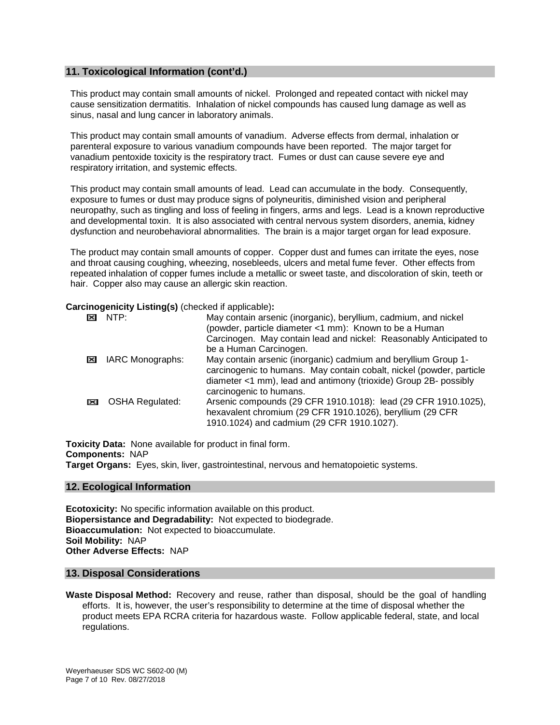#### **11. Toxicological Information (cont'd.)**

This product may contain small amounts of nickel. Prolonged and repeated contact with nickel may cause sensitization dermatitis. Inhalation of nickel compounds has caused lung damage as well as sinus, nasal and lung cancer in laboratory animals.

This product may contain small amounts of vanadium. Adverse effects from dermal, inhalation or parenteral exposure to various vanadium compounds have been reported. The major target for vanadium pentoxide toxicity is the respiratory tract. Fumes or dust can cause severe eye and respiratory irritation, and systemic effects.

This product may contain small amounts of lead. Lead can accumulate in the body. Consequently, exposure to fumes or dust may produce signs of polyneuritis, diminished vision and peripheral neuropathy, such as tingling and loss of feeling in fingers, arms and legs. Lead is a known reproductive and developmental toxin. It is also associated with central nervous system disorders, anemia, kidney dysfunction and neurobehavioral abnormalities. The brain is a major target organ for lead exposure.

The product may contain small amounts of copper. Copper dust and fumes can irritate the eyes, nose and throat causing coughing, wheezing, nosebleeds, ulcers and metal fume fever. Other effects from repeated inhalation of copper fumes include a metallic or sweet taste, and discoloration of skin, teeth or hair. Copper also may cause an allergic skin reaction.

#### **Carcinogenicity Listing(s)** (checked if applicable)**:**

| ×                     | NTP                    | May contain arsenic (inorganic), beryllium, cadmium, and nickel<br>(powder, particle diameter <1 mm): Known to be a Human                                                                                                             |
|-----------------------|------------------------|---------------------------------------------------------------------------------------------------------------------------------------------------------------------------------------------------------------------------------------|
|                       |                        | Carcinogen. May contain lead and nickel: Reasonably Anticipated to<br>be a Human Carcinogen.                                                                                                                                          |
| $\boldsymbol{\times}$ | IARC Monographs:       | May contain arsenic (inorganic) cadmium and beryllium Group 1-<br>carcinogenic to humans. May contain cobalt, nickel (powder, particle<br>diameter <1 mm), lead and antimony (trioxide) Group 2B- possibly<br>carcinogenic to humans. |
| $\boldsymbol{\times}$ | <b>OSHA Regulated:</b> | Arsenic compounds (29 CFR 1910.1018): lead (29 CFR 1910.1025),<br>hexavalent chromium (29 CFR 1910.1026), beryllium (29 CFR<br>1910.1024) and cadmium (29 CFR 1910.1027).                                                             |

**Toxicity Data:** None available for product in final form. **Components:** NAP **Target Organs:** Eyes, skin, liver, gastrointestinal, nervous and hematopoietic systems.

#### **12. Ecological Information**

**Ecotoxicity:** No specific information available on this product. **Biopersistance and Degradability:** Not expected to biodegrade. **Bioaccumulation:** Not expected to bioaccumulate. **Soil Mobility:** NAP **Other Adverse Effects:** NAP

#### **13. Disposal Considerations**

**Waste Disposal Method:** Recovery and reuse, rather than disposal, should be the goal of handling efforts. It is, however, the user's responsibility to determine at the time of disposal whether the product meets EPA RCRA criteria for hazardous waste. Follow applicable federal, state, and local regulations.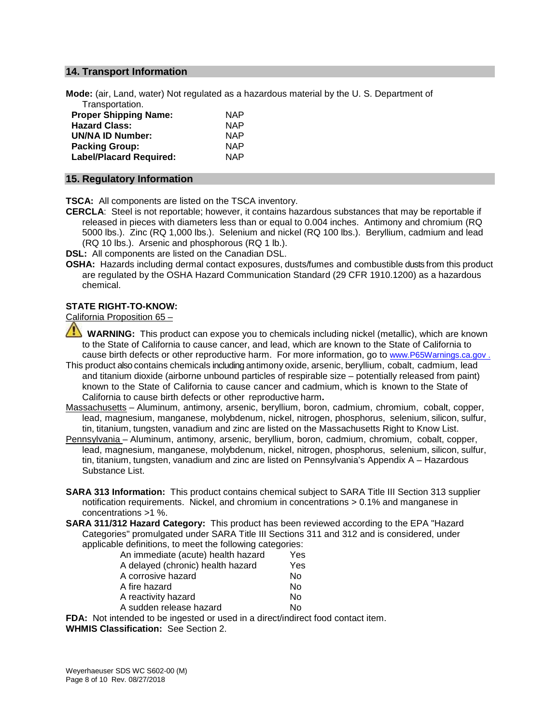#### **14. Transport Information**

**Mode:** (air, Land, water) Not regulated as a hazardous material by the U. S. Department of Transportation.

| <b>NAP</b> |
|------------|
| <b>NAP</b> |
| <b>NAP</b> |
| <b>NAP</b> |
| <b>NAP</b> |
|            |

#### **15. Regulatory Information**

**TSCA:** All components are listed on the TSCA inventory.

**CERCLA**: Steel is not reportable; however, it contains hazardous substances that may be reportable if released in pieces with diameters less than or equal to 0.004 inches. Antimony and chromium (RQ 5000 lbs.). Zinc (RQ 1,000 lbs.). Selenium and nickel (RQ 100 lbs.). Beryllium, cadmium and lead (RQ 10 lbs.). Arsenic and phosphorous (RQ 1 lb.).

**DSL:** All components are listed on the Canadian DSL.

**OSHA:** Hazards including dermal contact exposures, dusts/fumes and combustible dusts from this product are regulated by the OSHA Hazard Communication Standard (29 CFR 1910.1200) as a hazardous chemical.

#### **STATE RIGHT-TO-KNOW:**

California Proposition 65 –

- **WARNING:** This product can expose you to chemicals including nickel (metallic), which are known to the State of California to cause cancer, and lead, which are known to the State of California to cause birth defects or other reproductive harm. For more information, go to www.P65Warnings.ca.gov .
- This product also contains chemicals including antimony oxide, arsenic, beryllium, cobalt, cadmium, lead and titanium dioxide (airborne unbound particles of respirable size – potentially released from paint) known to the State of California to cause cancer and cadmium, which is known to the State of California to cause birth defects or other reproductive harm**.**
- Massachusetts Aluminum, antimony, arsenic, beryllium, boron, cadmium, chromium, cobalt, copper, lead, magnesium, manganese, molybdenum, nickel, nitrogen, phosphorus, selenium, silicon, sulfur, tin, titanium, tungsten, vanadium and zinc are listed on the Massachusetts Right to Know List.
- Pennsylvania Aluminum, antimony, arsenic, beryllium, boron, cadmium, chromium, cobalt, copper, lead, magnesium, manganese, molybdenum, nickel, nitrogen, phosphorus, selenium, silicon, sulfur, tin, titanium, tungsten, vanadium and zinc are listed on Pennsylvania's Appendix A – Hazardous Substance List.
- **SARA 313 Information:** This product contains chemical subject to SARA Title III Section 313 supplier notification requirements. Nickel, and chromium in concentrations > 0.1% and manganese in concentrations >1 %.
- **SARA 311/312 Hazard Category:** This product has been reviewed according to the EPA "Hazard Categories" promulgated under SARA Title III Sections 311 and 312 and is considered, under applicable definitions, to meet the following categories:

| An immediate (acute) health hazard | Yes |
|------------------------------------|-----|
| A delayed (chronic) health hazard  | Yes |
| A corrosive hazard                 | No  |
| A fire hazard                      | No  |
| A reactivity hazard                | No  |
| A sudden release hazard            | Nο  |
|                                    |     |

**FDA:** Not intended to be ingested or used in a direct/indirect food contact item. **WHMIS Classification:** See Section 2.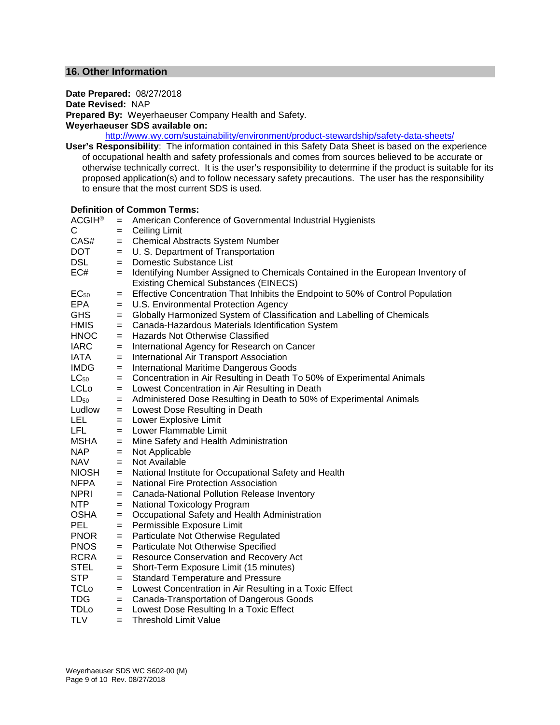#### **16. Other Information**

### **Date Prepared:** 08/27/2018

**Date Revised:** NAP

**Prepared By:** Weyerhaeuser Company Health and Safety.

#### **Weyerhaeuser SDS available on:**

<http://www.wy.com/sustainability/environment/product-stewardship/safety-data-sheets/>

**User's Responsibility**: The information contained in this Safety Data Sheet is based on the experience of occupational health and safety professionals and comes from sources believed to be accurate or otherwise technically correct. It is the user's responsibility to determine if the product is suitable for its proposed application(s) and to follow necessary safety precautions. The user has the responsibility to ensure that the most current SDS is used.

#### **Definition of Common Terms:**

| <b>ACGIH®</b> | $=$ | American Conference of Governmental Industrial Hygienists                                                                       |
|---------------|-----|---------------------------------------------------------------------------------------------------------------------------------|
| С             | $=$ | <b>Ceiling Limit</b>                                                                                                            |
| CAS#          | $=$ | <b>Chemical Abstracts System Number</b>                                                                                         |
| DOT           | $=$ | U. S. Department of Transportation                                                                                              |
| <b>DSL</b>    | $=$ | Domestic Substance List                                                                                                         |
| EC#           | $=$ | Identifying Number Assigned to Chemicals Contained in the European Inventory of<br><b>Existing Chemical Substances (EINECS)</b> |
| $EC_{50}$     | $=$ | Effective Concentration That Inhibits the Endpoint to 50% of Control Population                                                 |
| EPA           | $=$ | U.S. Environmental Protection Agency                                                                                            |
| <b>GHS</b>    | $=$ | Globally Harmonized System of Classification and Labelling of Chemicals                                                         |
| <b>HMIS</b>   | $=$ | Canada-Hazardous Materials Identification System                                                                                |
| <b>HNOC</b>   | $=$ | <b>Hazards Not Otherwise Classified</b>                                                                                         |
| <b>IARC</b>   | $=$ | International Agency for Research on Cancer                                                                                     |
| IATA          | $=$ | International Air Transport Association                                                                                         |
| <b>IMDG</b>   | $=$ | International Maritime Dangerous Goods                                                                                          |
| $LC_{50}$     | $=$ | Concentration in Air Resulting in Death To 50% of Experimental Animals                                                          |
| <b>LCLo</b>   | $=$ | Lowest Concentration in Air Resulting in Death                                                                                  |
| $LD_{50}$     | $=$ | Administered Dose Resulting in Death to 50% of Experimental Animals                                                             |
| Ludlow        | $=$ | Lowest Dose Resulting in Death                                                                                                  |
| LEL.          | $=$ | Lower Explosive Limit                                                                                                           |
| LFL.          | $=$ | Lower Flammable Limit                                                                                                           |
| MSHA          | $=$ | Mine Safety and Health Administration                                                                                           |
| NAP.          | $=$ | Not Applicable                                                                                                                  |
| <b>NAV</b>    | $=$ | Not Available                                                                                                                   |
| <b>NIOSH</b>  | $=$ | National Institute for Occupational Safety and Health                                                                           |
| <b>NFPA</b>   | $=$ | <b>National Fire Protection Association</b>                                                                                     |
| <b>NPRI</b>   | $=$ | Canada-National Pollution Release Inventory                                                                                     |
| NTP           | $=$ | <b>National Toxicology Program</b>                                                                                              |
| <b>OSHA</b>   | $=$ | Occupational Safety and Health Administration                                                                                   |
| <b>PEL</b>    | $=$ | Permissible Exposure Limit                                                                                                      |
| <b>PNOR</b>   | $=$ | Particulate Not Otherwise Regulated                                                                                             |
| <b>PNOS</b>   | $=$ | Particulate Not Otherwise Specified                                                                                             |
| <b>RCRA</b>   | $=$ | Resource Conservation and Recovery Act                                                                                          |
| <b>STEL</b>   | $=$ | Short-Term Exposure Limit (15 minutes)                                                                                          |
| STP           | $=$ | <b>Standard Temperature and Pressure</b>                                                                                        |
| <b>TCLo</b>   | $=$ | Lowest Concentration in Air Resulting in a Toxic Effect                                                                         |
| TDG           | $=$ | Canada-Transportation of Dangerous Goods                                                                                        |
| <b>TDLo</b>   | $=$ | Lowest Dose Resulting In a Toxic Effect                                                                                         |
| TLV           | $=$ | <b>Threshold Limit Value</b>                                                                                                    |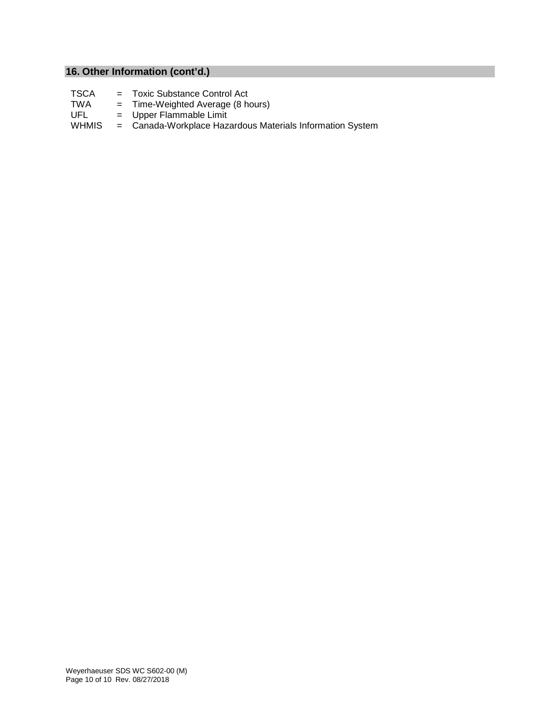## **16. Other Information (cont'd.)**

- TSCA = Toxic Substance Control Act<br>TWA = Time-Weighted Average (8 ha
- TWA = Time-Weighted Average (8 hours)<br>UFL = Upper Flammable Limit
- UFL = Upper Flammable Limit<br>WHMIS = Canada-Workplace Haz

## = Canada-Workplace Hazardous Materials Information System